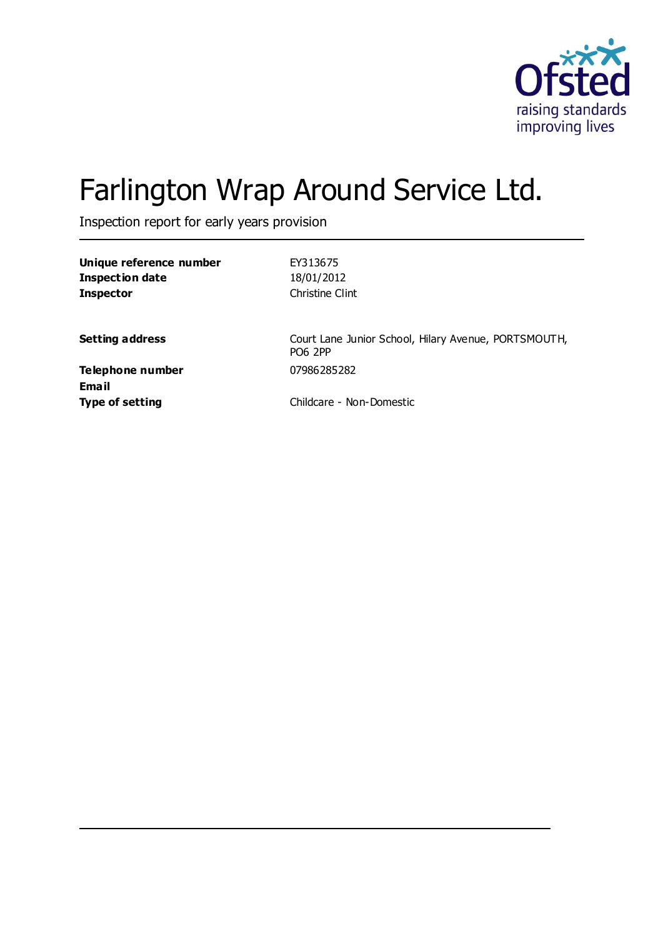

# Farlington Wrap Around Service Ltd.

Inspection report for early years provision

| Unique reference number | EY313675        |
|-------------------------|-----------------|
| Inspection date         | 18/01/2012      |
| <b>Inspector</b>        | Christine Clint |

**Setting address** Court Lane Junior School, Hilary Avenue, PORTSMOUTH, PO6 2PP

**Telephone number** 07986285282 **Email**

**Type of setting** Childcare - Non-Domestic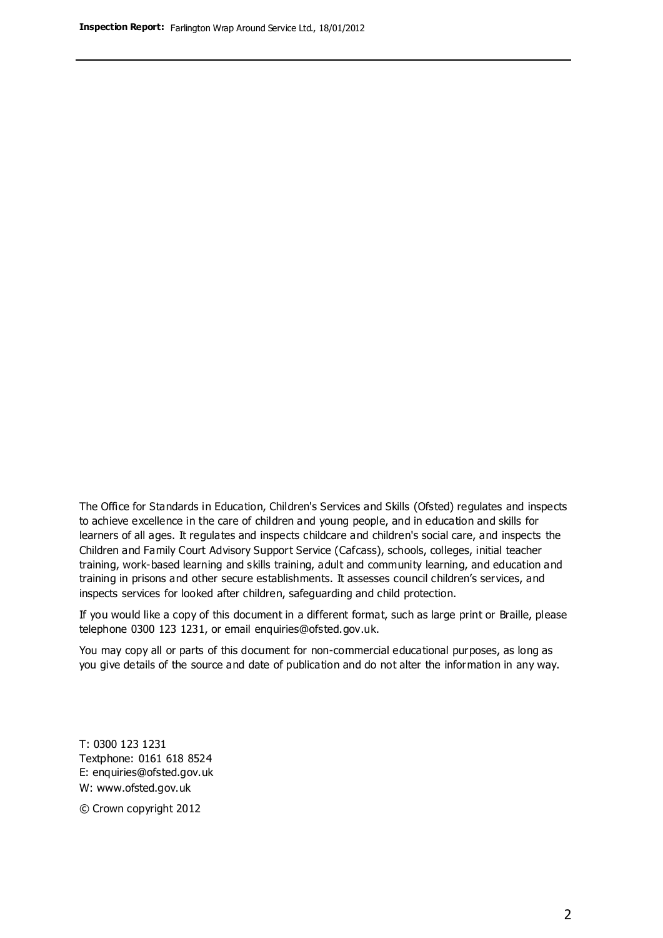The Office for Standards in Education, Children's Services and Skills (Ofsted) regulates and inspects to achieve excellence in the care of children and young people, and in education and skills for learners of all ages. It regulates and inspects childcare and children's social care, and inspects the Children and Family Court Advisory Support Service (Cafcass), schools, colleges, initial teacher training, work-based learning and skills training, adult and community learning, and education and training in prisons and other secure establishments. It assesses council children's services, and inspects services for looked after children, safeguarding and child protection.

If you would like a copy of this document in a different format, such as large print or Braille, please telephone 0300 123 1231, or email enquiries@ofsted.gov.uk.

You may copy all or parts of this document for non-commercial educational purposes, as long as you give details of the source and date of publication and do not alter the information in any way.

T: 0300 123 1231 Textphone: 0161 618 8524 E: enquiries@ofsted.gov.uk W: [www.ofsted.gov.uk](http://www.ofsted.gov.uk/)

© Crown copyright 2012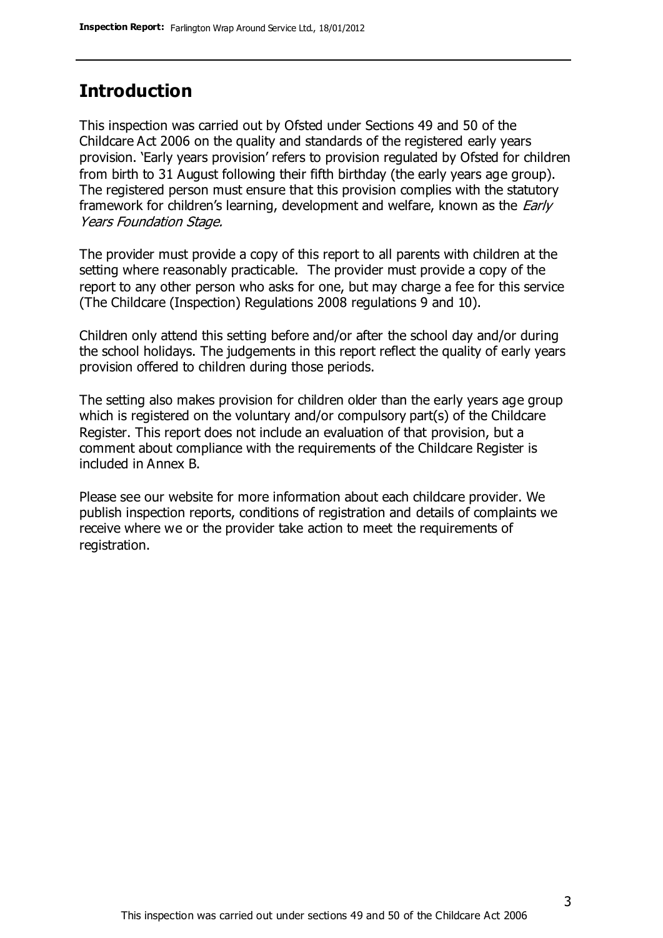### **Introduction**

This inspection was carried out by Ofsted under Sections 49 and 50 of the Childcare Act 2006 on the quality and standards of the registered early years provision. 'Early years provision' refers to provision regulated by Ofsted for children from birth to 31 August following their fifth birthday (the early years age group). The registered person must ensure that this provision complies with the statutory framework for children's learning, development and welfare, known as the *Early* Years Foundation Stage.

The provider must provide a copy of this report to all parents with children at the setting where reasonably practicable. The provider must provide a copy of the report to any other person who asks for one, but may charge a fee for this service (The Childcare (Inspection) Regulations 2008 regulations 9 and 10).

Children only attend this setting before and/or after the school day and/or during the school holidays. The judgements in this report reflect the quality of early years provision offered to children during those periods.

The setting also makes provision for children older than the early years age group which is registered on the voluntary and/or compulsory part(s) of the Childcare Register. This report does not include an evaluation of that provision, but a comment about compliance with the requirements of the Childcare Register is included in Annex B.

Please see our website for more information about each childcare provider. We publish inspection reports, conditions of registration and details of complaints we receive where we or the provider take action to meet the requirements of registration.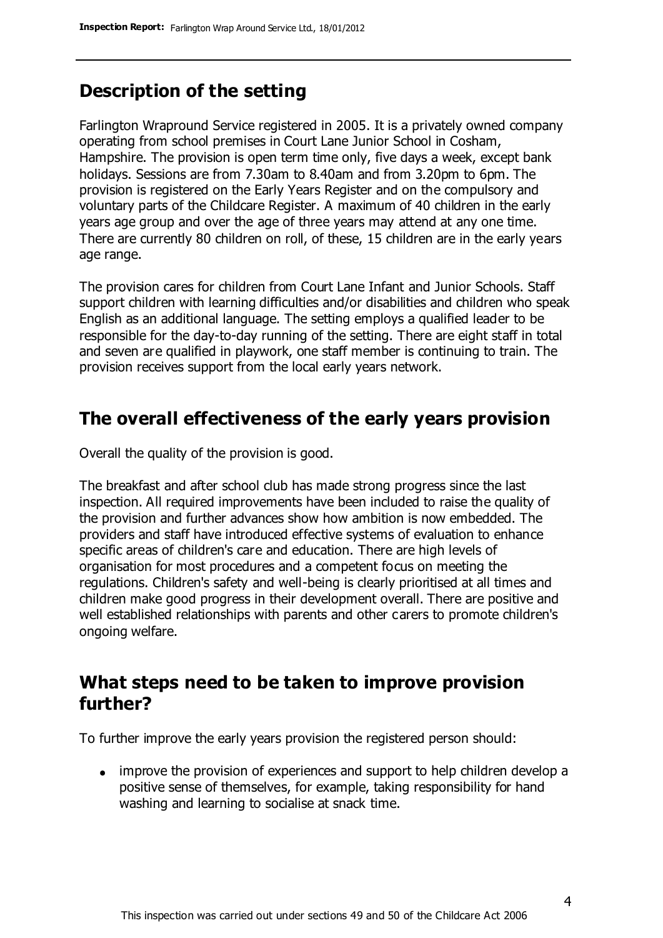### **Description of the setting**

Farlington Wrapround Service registered in 2005. It is a privately owned company operating from school premises in Court Lane Junior School in Cosham, Hampshire. The provision is open term time only, five days a week, except bank holidays. Sessions are from 7.30am to 8.40am and from 3.20pm to 6pm. The provision is registered on the Early Years Register and on the compulsory and voluntary parts of the Childcare Register. A maximum of 40 children in the early years age group and over the age of three years may attend at any one time. There are currently 80 children on roll, of these, 15 children are in the early years age range.

The provision cares for children from Court Lane Infant and Junior Schools. Staff support children with learning difficulties and/or disabilities and children who speak English as an additional language. The setting employs a qualified leader to be responsible for the day-to-day running of the setting. There are eight staff in total and seven are qualified in playwork, one staff member is continuing to train. The provision receives support from the local early years network.

### **The overall effectiveness of the early years provision**

Overall the quality of the provision is good.

The breakfast and after school club has made strong progress since the last inspection. All required improvements have been included to raise the quality of the provision and further advances show how ambition is now embedded. The providers and staff have introduced effective systems of evaluation to enhance specific areas of children's care and education. There are high levels of organisation for most procedures and a competent focus on meeting the regulations. Children's safety and well-being is clearly prioritised at all times and children make good progress in their development overall. There are positive and well established relationships with parents and other carers to promote children's ongoing welfare.

### **What steps need to be taken to improve provision further?**

To further improve the early years provision the registered person should:

improve the provision of experiences and support to help children develop a positive sense of themselves, for example, taking responsibility for hand washing and learning to socialise at snack time.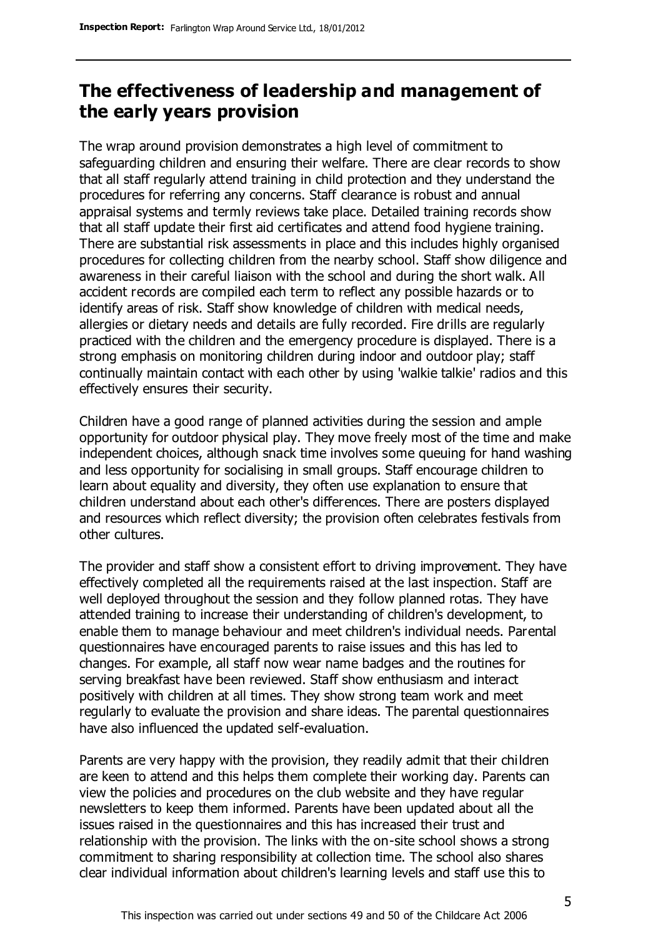### **The effectiveness of leadership and management of the early years provision**

The wrap around provision demonstrates a high level of commitment to safeguarding children and ensuring their welfare. There are clear records to show that all staff regularly attend training in child protection and they understand the procedures for referring any concerns. Staff clearance is robust and annual appraisal systems and termly reviews take place. Detailed training records show that all staff update their first aid certificates and attend food hygiene training. There are substantial risk assessments in place and this includes highly organised procedures for collecting children from the nearby school. Staff show diligence and awareness in their careful liaison with the school and during the short walk. All accident records are compiled each term to reflect any possible hazards or to identify areas of risk. Staff show knowledge of children with medical needs, allergies or dietary needs and details are fully recorded. Fire drills are regularly practiced with the children and the emergency procedure is displayed. There is a strong emphasis on monitoring children during indoor and outdoor play; staff continually maintain contact with each other by using 'walkie talkie' radios and this effectively ensures their security.

Children have a good range of planned activities during the session and ample opportunity for outdoor physical play. They move freely most of the time and make independent choices, although snack time involves some queuing for hand washing and less opportunity for socialising in small groups. Staff encourage children to learn about equality and diversity, they often use explanation to ensure that children understand about each other's differences. There are posters displayed and resources which reflect diversity; the provision often celebrates festivals from other cultures.

The provider and staff show a consistent effort to driving improvement. They have effectively completed all the requirements raised at the last inspection. Staff are well deployed throughout the session and they follow planned rotas. They have attended training to increase their understanding of children's development, to enable them to manage behaviour and meet children's individual needs. Parental questionnaires have encouraged parents to raise issues and this has led to changes. For example, all staff now wear name badges and the routines for serving breakfast have been reviewed. Staff show enthusiasm and interact positively with children at all times. They show strong team work and meet regularly to evaluate the provision and share ideas. The parental questionnaires have also influenced the updated self-evaluation.

Parents are very happy with the provision, they readily admit that their children are keen to attend and this helps them complete their working day. Parents can view the policies and procedures on the club website and they have regular newsletters to keep them informed. Parents have been updated about all the issues raised in the questionnaires and this has increased their trust and relationship with the provision. The links with the on-site school shows a strong commitment to sharing responsibility at collection time. The school also shares clear individual information about children's learning levels and staff use this to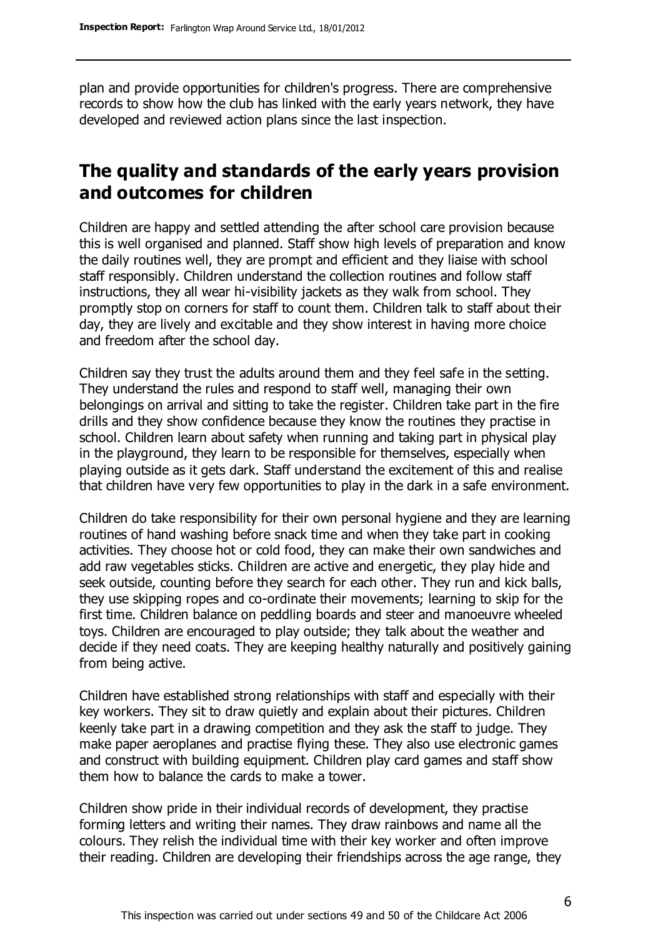plan and provide opportunities for children's progress. There are comprehensive records to show how the club has linked with the early years network, they have developed and reviewed action plans since the last inspection.

### **The quality and standards of the early years provision and outcomes for children**

Children are happy and settled attending the after school care provision because this is well organised and planned. Staff show high levels of preparation and know the daily routines well, they are prompt and efficient and they liaise with school staff responsibly. Children understand the collection routines and follow staff instructions, they all wear hi-visibility jackets as they walk from school. They promptly stop on corners for staff to count them. Children talk to staff about their day, they are lively and excitable and they show interest in having more choice and freedom after the school day.

Children say they trust the adults around them and they feel safe in the setting. They understand the rules and respond to staff well, managing their own belongings on arrival and sitting to take the register. Children take part in the fire drills and they show confidence because they know the routines they practise in school. Children learn about safety when running and taking part in physical play in the playground, they learn to be responsible for themselves, especially when playing outside as it gets dark. Staff understand the excitement of this and realise that children have very few opportunities to play in the dark in a safe environment.

Children do take responsibility for their own personal hygiene and they are learning routines of hand washing before snack time and when they take part in cooking activities. They choose hot or cold food, they can make their own sandwiches and add raw vegetables sticks. Children are active and energetic, they play hide and seek outside, counting before they search for each other. They run and kick balls, they use skipping ropes and co-ordinate their movements; learning to skip for the first time. Children balance on peddling boards and steer and manoeuvre wheeled toys. Children are encouraged to play outside; they talk about the weather and decide if they need coats. They are keeping healthy naturally and positively gaining from being active.

Children have established strong relationships with staff and especially with their key workers. They sit to draw quietly and explain about their pictures. Children keenly take part in a drawing competition and they ask the staff to judge. They make paper aeroplanes and practise flying these. They also use electronic games and construct with building equipment. Children play card games and staff show them how to balance the cards to make a tower.

Children show pride in their individual records of development, they practise forming letters and writing their names. They draw rainbows and name all the colours. They relish the individual time with their key worker and often improve their reading. Children are developing their friendships across the age range, they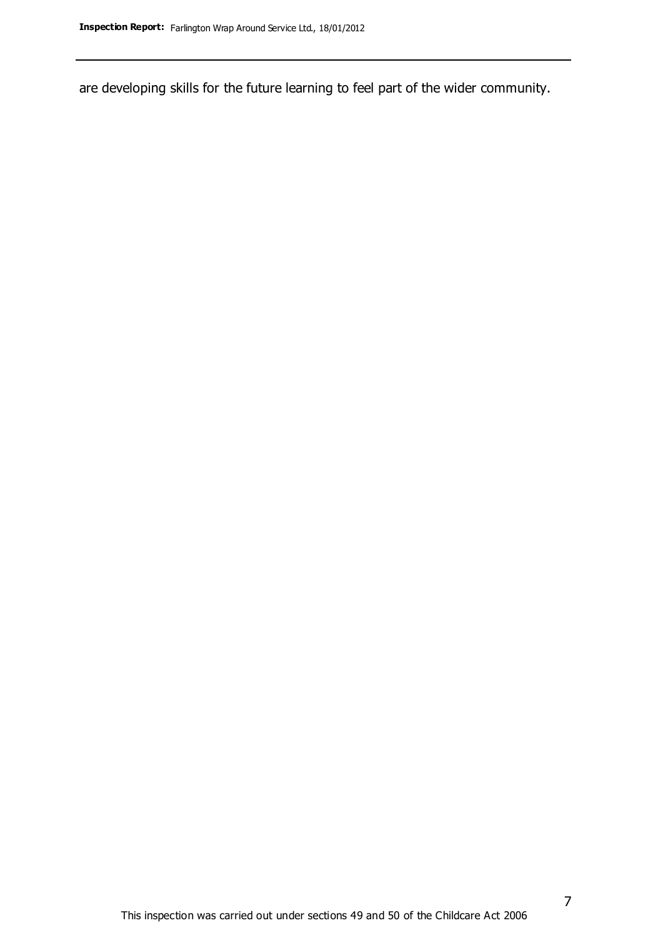are developing skills for the future learning to feel part of the wider community.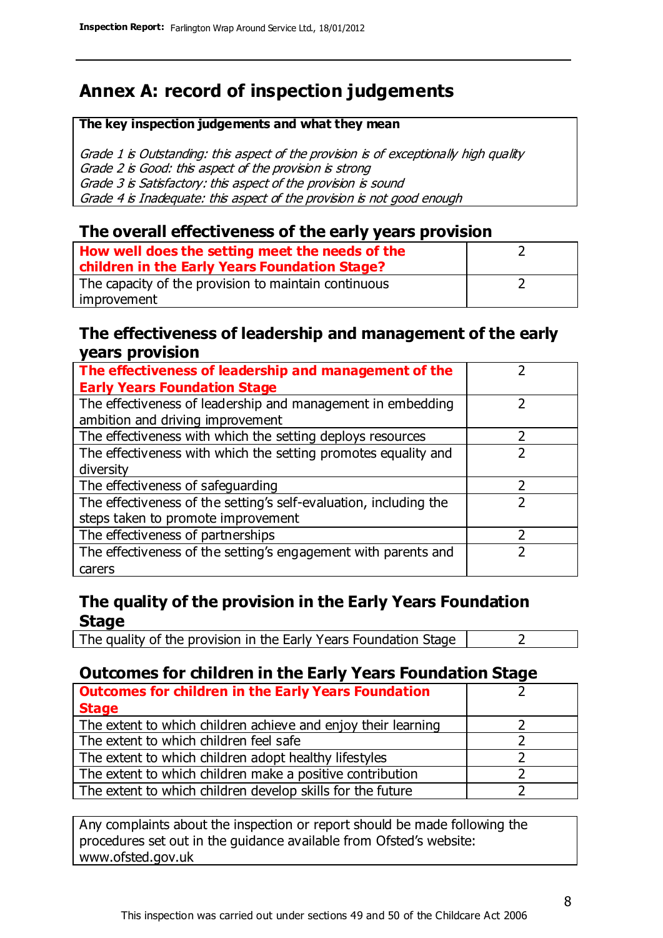### **Annex A: record of inspection judgements**

#### **The key inspection judgements and what they mean**

Grade 1 is Outstanding: this aspect of the provision is of exceptionally high quality Grade 2 is Good: this aspect of the provision is strong Grade 3 is Satisfactory: this aspect of the provision is sound Grade 4 is Inadequate: this aspect of the provision is not good enough

#### **The overall effectiveness of the early years provision**

| How well does the setting meet the needs of the<br>children in the Early Years Foundation Stage? |  |
|--------------------------------------------------------------------------------------------------|--|
| The capacity of the provision to maintain continuous                                             |  |
| improvement                                                                                      |  |

#### **The effectiveness of leadership and management of the early years provision**

| The effectiveness of leadership and management of the                                           |               |
|-------------------------------------------------------------------------------------------------|---------------|
| <b>Early Years Foundation Stage</b>                                                             |               |
| The effectiveness of leadership and management in embedding<br>ambition and driving improvement |               |
|                                                                                                 |               |
| The effectiveness with which the setting deploys resources                                      |               |
| The effectiveness with which the setting promotes equality and                                  |               |
| diversity                                                                                       |               |
| The effectiveness of safeguarding                                                               | $\mathcal{P}$ |
| The effectiveness of the setting's self-evaluation, including the                               |               |
| steps taken to promote improvement                                                              |               |
| The effectiveness of partnerships                                                               | っ             |
| The effectiveness of the setting's engagement with parents and                                  |               |
| carers                                                                                          |               |

### **The quality of the provision in the Early Years Foundation Stage**

The quality of the provision in the Early Years Foundation Stage  $\vert$  2

### **Outcomes for children in the Early Years Foundation Stage**

| <b>Outcomes for children in the Early Years Foundation</b>    |  |
|---------------------------------------------------------------|--|
| <b>Stage</b>                                                  |  |
| The extent to which children achieve and enjoy their learning |  |
| The extent to which children feel safe                        |  |
| The extent to which children adopt healthy lifestyles         |  |
| The extent to which children make a positive contribution     |  |
| The extent to which children develop skills for the future    |  |

Any complaints about the inspection or report should be made following the procedures set out in the guidance available from Ofsted's website: www.ofsted.gov.uk